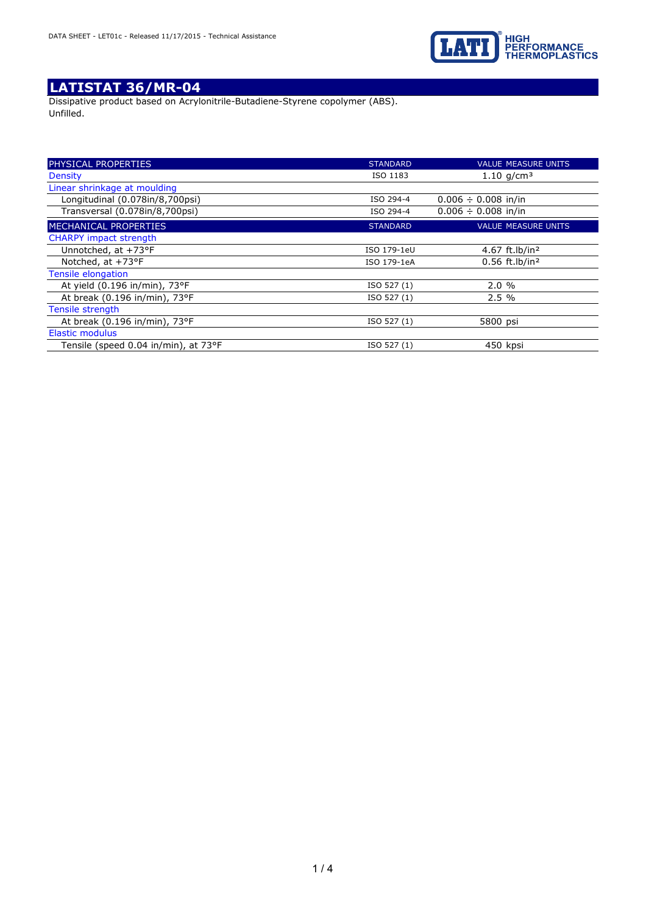

Dissipative product based on Acrylonitrile-Butadiene-Styrene copolymer (ABS). Unfilled.

| PHYSICAL PROPERTIES                  | <b>STANDARD</b> | <b>VALUE MEASURE UNITS</b>   |
|--------------------------------------|-----------------|------------------------------|
| <b>Density</b>                       | ISO 1183        | 1.10 $q/cm^3$                |
| Linear shrinkage at moulding         |                 |                              |
| Longitudinal (0.078in/8,700psi)      | ISO 294-4       | $0.006 \div 0.008$ in/in     |
| Transversal (0.078in/8,700psi)       | ISO 294-4       | $0.006 \div 0.008$ in/in     |
| MECHANICAL PROPERTIES                | <b>STANDARD</b> | <b>VALUE MEASURE UNITS</b>   |
| <b>CHARPY impact strength</b>        |                 |                              |
| Unnotched, at +73°F                  | ISO 179-1eU     | 4.67 ft.lb/in <sup>2</sup>   |
| Notched, at +73°F                    | ISO 179-1eA     | $0.56$ ft.lb/in <sup>2</sup> |
| Tensile elongation                   |                 |                              |
| At yield (0.196 in/min), 73°F        | ISO 527 (1)     | 2.0%                         |
| At break (0.196 in/min), 73°F        | ISO 527 (1)     | 2.5%                         |
| Tensile strength                     |                 |                              |
| At break (0.196 in/min), 73°F        | ISO 527 (1)     | 5800 psi                     |
| <b>Elastic modulus</b>               |                 |                              |
| Tensile (speed 0.04 in/min), at 73°F | ISO 527 (1)     | 450 kpsi                     |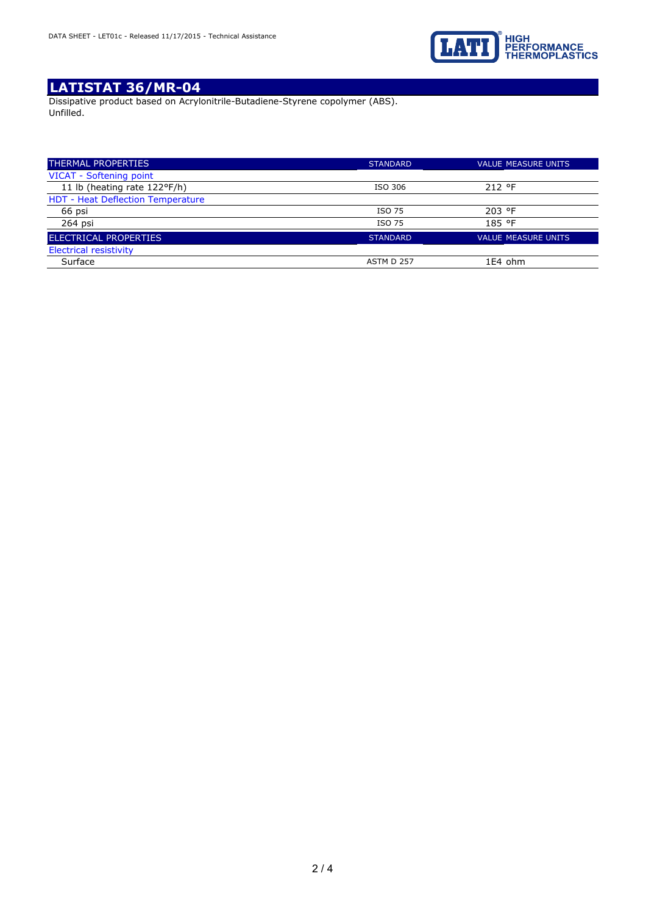

Dissipative product based on Acrylonitrile-Butadiene-Styrene copolymer (ABS). Unfilled.

| <b>THERMAL PROPERTIES</b>                | <b>STANDARD</b> | <b>VALUE MEASURE UNITS</b> |
|------------------------------------------|-----------------|----------------------------|
| VICAT - Softening point                  |                 |                            |
| 11 lb (heating rate 122°F/h)             | ISO 306         | 212 °F                     |
| <b>HDT - Heat Deflection Temperature</b> |                 |                            |
| 66 psi                                   | ISO 75          | 203 °F                     |
| 264 psi                                  | ISO 75          | 185 °F                     |
| <b>ELECTRICAL PROPERTIES</b>             | <b>STANDARD</b> | <b>VALUE MEASURE UNITS</b> |
| <b>Electrical resistivity</b>            |                 |                            |
| Surface                                  | ASTM D 257      | 1E4 ohm                    |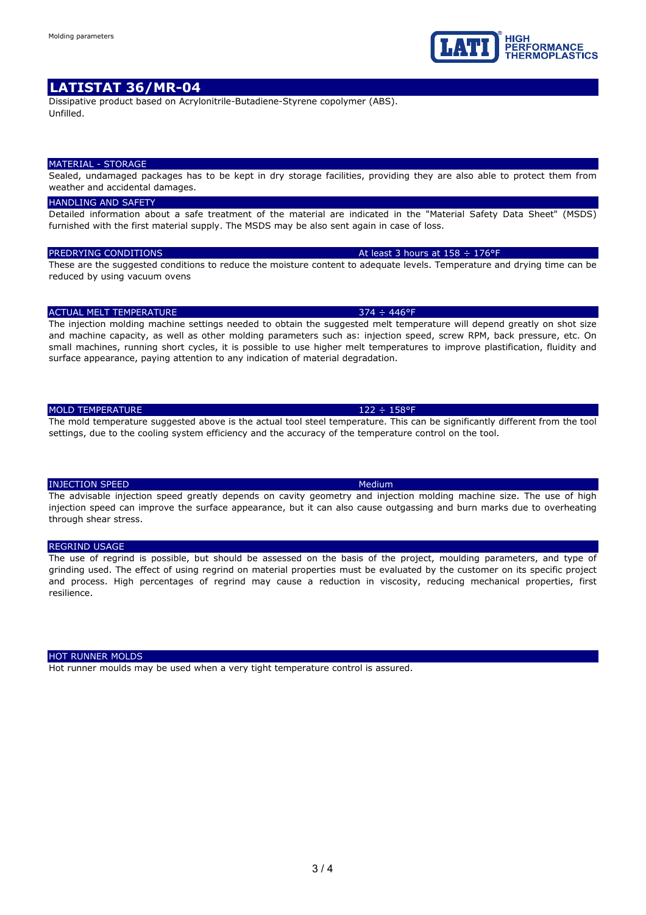Dissipative product based on Acrylonitrile-Butadiene-Styrene copolymer (ABS). Unfilled.

#### MATERIAL - STORAGE

Sealed, undamaged packages has to be kept in dry storage facilities, providing they are also able to protect them from weather and accidental damages.

### **HANDLING AND SAFETY**

Detailed information about a safe treatment of the material are indicated in the "Material Safety Data Sheet" (MSDS) furnished with the first material supply. The MSDS may be also sent again in case of loss.

### PREDRYING CONDITIONS At least 3 hours at 158  $\div$  176°F

These are the suggested conditions to reduce the moisture content to adequate levels. Temperature and drying time can be reduced by using vacuum ovens

### ACTUAL MELT TEMPERATURE 374 ÷ 446°F

The injection molding machine settings needed to obtain the suggested melt temperature will depend greatly on shot size and machine capacity, as well as other molding parameters such as: injection speed, screw RPM, back pressure, etc. On small machines, running short cycles, it is possible to use higher melt temperatures to improve plastification, fluidity and surface appearance, paying attention to any indication of material degradation.

## MOLD TEMPERATURE 122 ÷ 158°F

The mold temperature suggested above is the actual tool steel temperature. This can be significantly different from the tool settings, due to the cooling system efficiency and the accuracy of the temperature control on the tool.

### **INJECTION SPEED Medium** Medium

The advisable injection speed greatly depends on cavity geometry and injection molding machine size. The use of high injection speed can improve the surface appearance, but it can also cause outgassing and burn marks due to overheating through shear stress.

### REGRIND USAGE

The use of regrind is possible, but should be assessed on the basis of the project, moulding parameters, and type of grinding used. The effect of using regrind on material properties must be evaluated by the customer on its specific project and process. High percentages of regrind may cause a reduction in viscosity, reducing mechanical properties, first resilience.

#### HOT RUNNER MOLDS

Hot runner moulds may be used when a very tight temperature control is assured.

**REORMANCE** ERMOPLASTICS